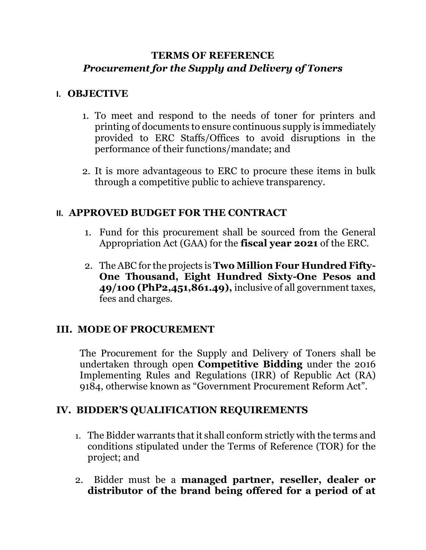### **TERMS OF REFERENCE** *Procurement for the Supply and Delivery of Toners*

#### **I. OBJECTIVE**

- 1. To meet and respond to the needs of toner for printers and printing of documents to ensure continuous supply is immediately provided to ERC Staffs/Offices to avoid disruptions in the performance of their functions/mandate; and
- 2. It is more advantageous to ERC to procure these items in bulk through a competitive public to achieve transparency.

### **II. APPROVED BUDGET FOR THE CONTRACT**

- 1. Fund for this procurement shall be sourced from the General Appropriation Act (GAA) for the **fiscal year 2021** of the ERC.
- 2. The ABC for the projects is **Two Million Four Hundred Fifty-One Thousand, Eight Hundred Sixty-One Pesos and 49/100 (PhP2,451,861.49),** inclusive of all government taxes, fees and charges.

# **III. MODE OF PROCUREMENT**

The Procurement for the Supply and Delivery of Toners shall be undertaken through open **Competitive Bidding** under the 2016 Implementing Rules and Regulations (IRR) of Republic Act (RA) 9184, otherwise known as "Government Procurement Reform Act".

### **IV. BIDDER'S QUALIFICATION REQUIREMENTS**

- 1. The Bidder warrants that it shall conform strictly with the terms and conditions stipulated under the Terms of Reference (TOR) for the project; and
- 2. Bidder must be a **managed partner, reseller, dealer or distributor of the brand being offered for a period of at**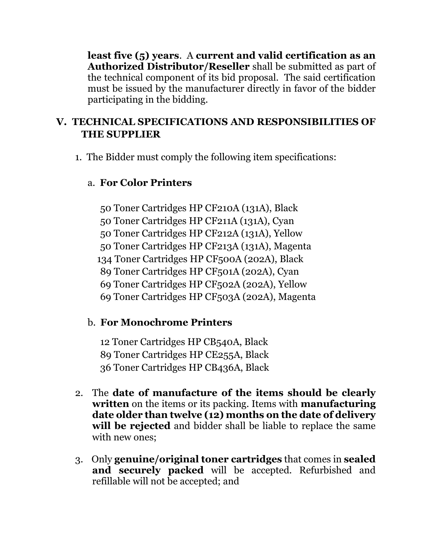**least five (5) years**. A **current and valid certification as an Authorized Distributor/Reseller** shall be submitted as part of the technical component of its bid proposal. The said certification must be issued by the manufacturer directly in favor of the bidder participating in the bidding.

# **V. TECHNICAL SPECIFICATIONS AND RESPONSIBILITIES OF THE SUPPLIER**

1. The Bidder must comply the following item specifications:

# a. **For Color Printers**

50 Toner Cartridges HP CF210A (131A), Black 50 Toner Cartridges HP CF211A (131A), Cyan 50 Toner Cartridges HP CF212A (131A), Yellow 50 Toner Cartridges HP CF213A (131A), Magenta 134 Toner Cartridges HP CF500A (202A), Black 89 Toner Cartridges HP CF501A (202A), Cyan 69 Toner Cartridges HP CF502A (202A), Yellow 69 Toner Cartridges HP CF503A (202A), Magenta

# b. **For Monochrome Printers**

12 Toner Cartridges HP CB540A, Black 89 Toner Cartridges HP CE255A, Black 36 Toner Cartridges HP CB436A, Black

- 2. The **date of manufacture of the items should be clearly written** on the items or its packing. Items with **manufacturing date older than twelve (12) months on the date of delivery will be rejected** and bidder shall be liable to replace the same with new ones;
- 3. Only **genuine/original toner cartridges** that comes in **sealed and securely packed** will be accepted. Refurbished and refillable will not be accepted; and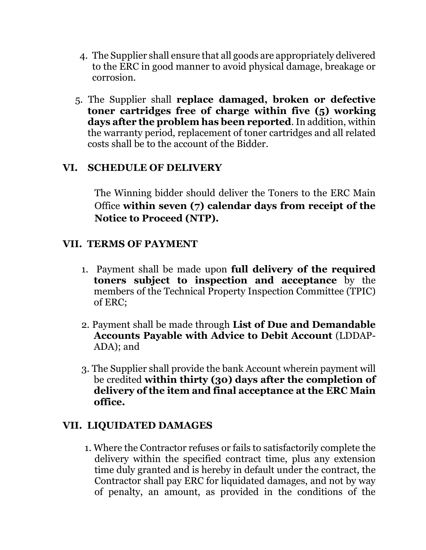- 4. The Supplier shall ensure that all goods are appropriately delivered to the ERC in good manner to avoid physical damage, breakage or corrosion.
- 5. The Supplier shall **replace damaged, broken or defective toner cartridges free of charge within five (5) working days after the problem has been reported**. In addition, within the warranty period, replacement of toner cartridges and all related costs shall be to the account of the Bidder.

### **VI. SCHEDULE OF DELIVERY**

The Winning bidder should deliver the Toners to the ERC Main Office **within seven (7) calendar days from receipt of the Notice to Proceed (NTP).**

### **VII. TERMS OF PAYMENT**

- 1. Payment shall be made upon **full delivery of the required toners subject to inspection and acceptance** by the members of the Technical Property Inspection Committee (TPIC) of ERC;
- 2. Payment shall be made through **List of Due and Demandable Accounts Payable with Advice to Debit Account** (LDDAP-ADA); and
- 3. The Supplier shall provide the bank Account wherein payment will be credited **within thirty (30) days after the completion of delivery of the item and final acceptance at the ERC Main office.**

#### **VII. LIQUIDATED DAMAGES**

1. Where the Contractor refuses or fails to satisfactorily complete the delivery within the specified contract time, plus any extension time duly granted and is hereby in default under the contract, the Contractor shall pay ERC for liquidated damages, and not by way of penalty, an amount, as provided in the conditions of the